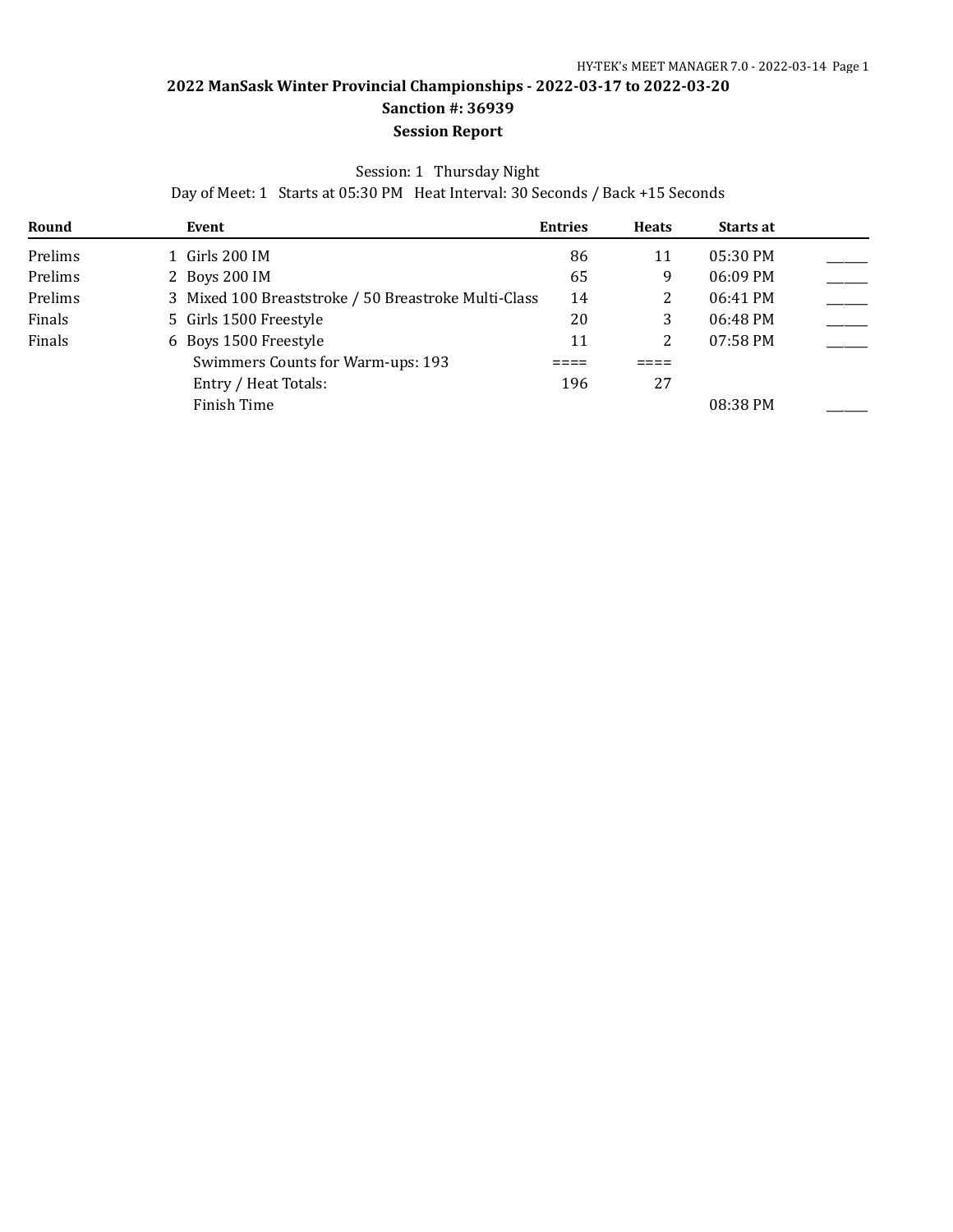### Session: 1 Thursday Night

Day of Meet: 1 Starts at 05:30 PM Heat Interval: 30 Seconds / Back +15 Seconds

| Round   | Event                                                | <b>Entries</b> | <b>Heats</b> | <b>Starts at</b> |  |
|---------|------------------------------------------------------|----------------|--------------|------------------|--|
| Prelims | 1 Girls 200 IM                                       | 86             | 11           | $05:30$ PM       |  |
| Prelims | 2 Boys 200 IM                                        | 65             | 9            | 06:09 PM         |  |
| Prelims | 3 Mixed 100 Breaststroke / 50 Breastroke Multi-Class | 14             |              | 06:41 PM         |  |
| Finals  | 5 Girls 1500 Freestyle                               | 20             | 3            | 06:48 PM         |  |
| Finals  | 6 Boys 1500 Freestyle                                | 11             |              | $07:58$ PM       |  |
|         | Swimmers Counts for Warm-ups: 193                    |                |              |                  |  |
|         | Entry / Heat Totals:                                 | 196            | 27           |                  |  |
|         | Finish Time                                          |                |              | 08:38 PM         |  |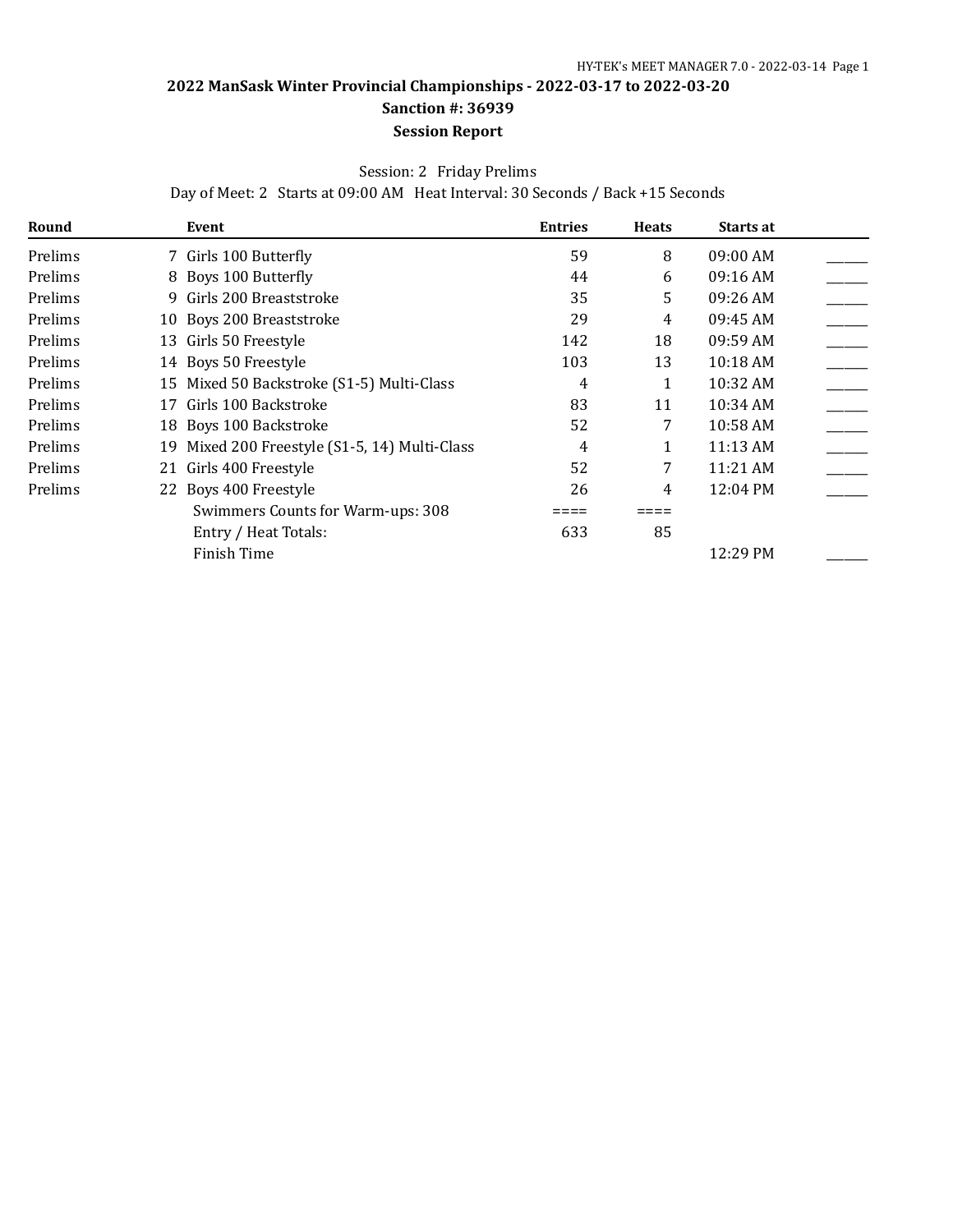#### Session: 2 Friday Prelims

Day of Meet: 2 Starts at 09:00 AM Heat Interval: 30 Seconds / Back +15 Seconds

| Round   |    | Event                                         | <b>Entries</b> | <b>Heats</b> | Starts at          |  |
|---------|----|-----------------------------------------------|----------------|--------------|--------------------|--|
| Prelims |    | 7 Girls 100 Butterfly                         | 59             | 8            | 09:00 AM           |  |
| Prelims |    | 8 Boys 100 Butterfly                          | 44             | 6            | 09:16 AM           |  |
| Prelims |    | 9 Girls 200 Breaststroke                      | 35             | 5            | 09:26 AM           |  |
| Prelims |    | 10 Boys 200 Breaststroke                      | 29             | 4            | 09:45 AM           |  |
| Prelims |    | 13 Girls 50 Freestyle                         | 142            | 18           | 09:59 AM           |  |
| Prelims |    | 14 Boys 50 Freestyle                          | 103            | 13           | 10:18 AM           |  |
| Prelims |    | 15 Mixed 50 Backstroke (S1-5) Multi-Class     | 4              |              | 10:32 AM           |  |
| Prelims | 17 | Girls 100 Backstroke                          | 83             | 11           | 10:34 AM           |  |
| Prelims |    | 18 Boys 100 Backstroke                        | 52             | 7            | 10:58 AM           |  |
| Prelims |    | 19 Mixed 200 Freestyle (S1-5, 14) Multi-Class | 4              |              | 11:13 AM           |  |
| Prelims |    | 21 Girls 400 Freestyle                        | 52             | 7            | 11:21 AM           |  |
| Prelims |    | 22 Boys 400 Freestyle                         | 26             | 4            | $12:04 \text{ PM}$ |  |
|         |    | Swimmers Counts for Warm-ups: 308             |                |              |                    |  |
|         |    | Entry / Heat Totals:                          | 633            | 85           |                    |  |
|         |    | Finish Time                                   |                |              | 12:29 PM           |  |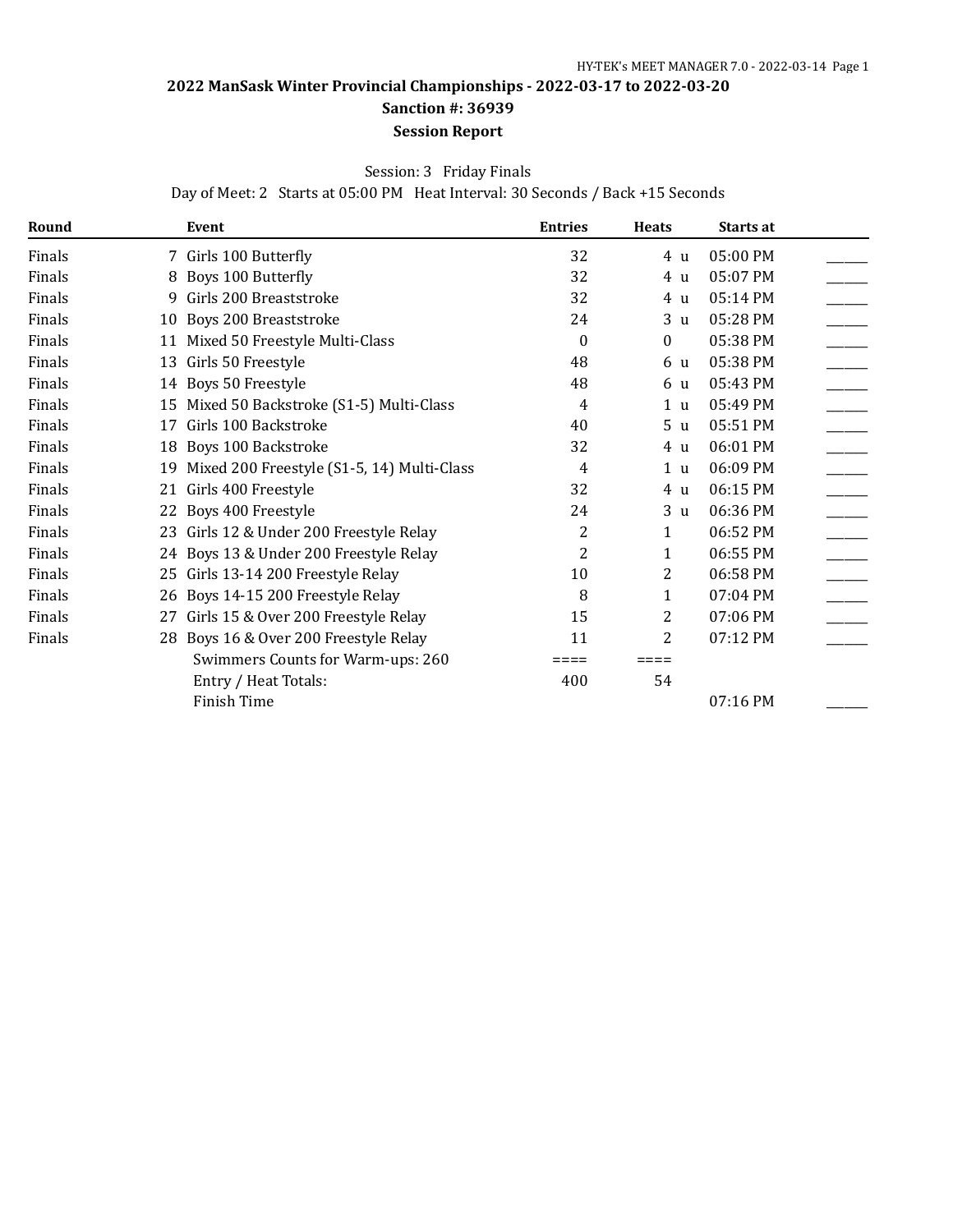# Session: 3 Friday Finals

Day of Meet: 2 Starts at 05:00 PM Heat Interval: 30 Seconds / Back +15 Seconds

| Round  |    | Event                                      | <b>Entries</b> | <b>Heats</b>   | Starts at |  |
|--------|----|--------------------------------------------|----------------|----------------|-----------|--|
| Finals |    | 7 Girls 100 Butterfly                      | 32             | 4 u            | 05:00 PM  |  |
| Finals |    | 8 Boys 100 Butterfly                       | 32             | 4 u            | 05:07 PM  |  |
| Finals | 9  | Girls 200 Breaststroke                     | 32             | 4 u            | 05:14 PM  |  |
| Finals | 10 | Boys 200 Breaststroke                      | 24             | 3 <sub>u</sub> | 05:28 PM  |  |
| Finals | 11 | Mixed 50 Freestyle Multi-Class             | $\theta$       | $\theta$       | 05:38 PM  |  |
| Finals | 13 | Girls 50 Freestyle                         | 48             | 6 u            | 05:38 PM  |  |
| Finals |    | 14 Boys 50 Freestyle                       | 48             | 6 u            | 05:43 PM  |  |
| Finals | 15 | Mixed 50 Backstroke (S1-5) Multi-Class     | 4              | 1 <sub>u</sub> | 05:49 PM  |  |
| Finals | 17 | Girls 100 Backstroke                       | 40             | 5 <sub>u</sub> | 05:51 PM  |  |
| Finals | 18 | Boys 100 Backstroke                        | 32             | 4 u            | 06:01 PM  |  |
| Finals | 19 | Mixed 200 Freestyle (S1-5, 14) Multi-Class | 4              | 1 <sub>u</sub> | 06:09 PM  |  |
| Finals | 21 | Girls 400 Freestyle                        | 32             | 4 u            | 06:15 PM  |  |
| Finals |    | 22 Boys 400 Freestyle                      | 24             | 3 <sub>u</sub> | 06:36 PM  |  |
| Finals |    | 23 Girls 12 & Under 200 Freestyle Relay    | 2              | 1              | 06:52 PM  |  |
| Finals |    | 24 Boys 13 & Under 200 Freestyle Relay     | 2              | 1              | 06:55 PM  |  |
| Finals | 25 | Girls 13-14 200 Freestyle Relay            | 10             | 2              | 06:58 PM  |  |
| Finals |    | 26 Boys 14-15 200 Freestyle Relay          | 8              | 1              | 07:04 PM  |  |
| Finals | 27 | Girls 15 & Over 200 Freestyle Relay        | 15             | 2              | 07:06 PM  |  |
| Finals |    | 28 Boys 16 & Over 200 Freestyle Relay      | 11             | 2              | 07:12 PM  |  |
|        |    | Swimmers Counts for Warm-ups: 260          | ====           | ⋍⋍⋍⋍           |           |  |
|        |    | Entry / Heat Totals:                       | 400            | 54             |           |  |
|        |    | Finish Time                                |                |                | 07:16 PM  |  |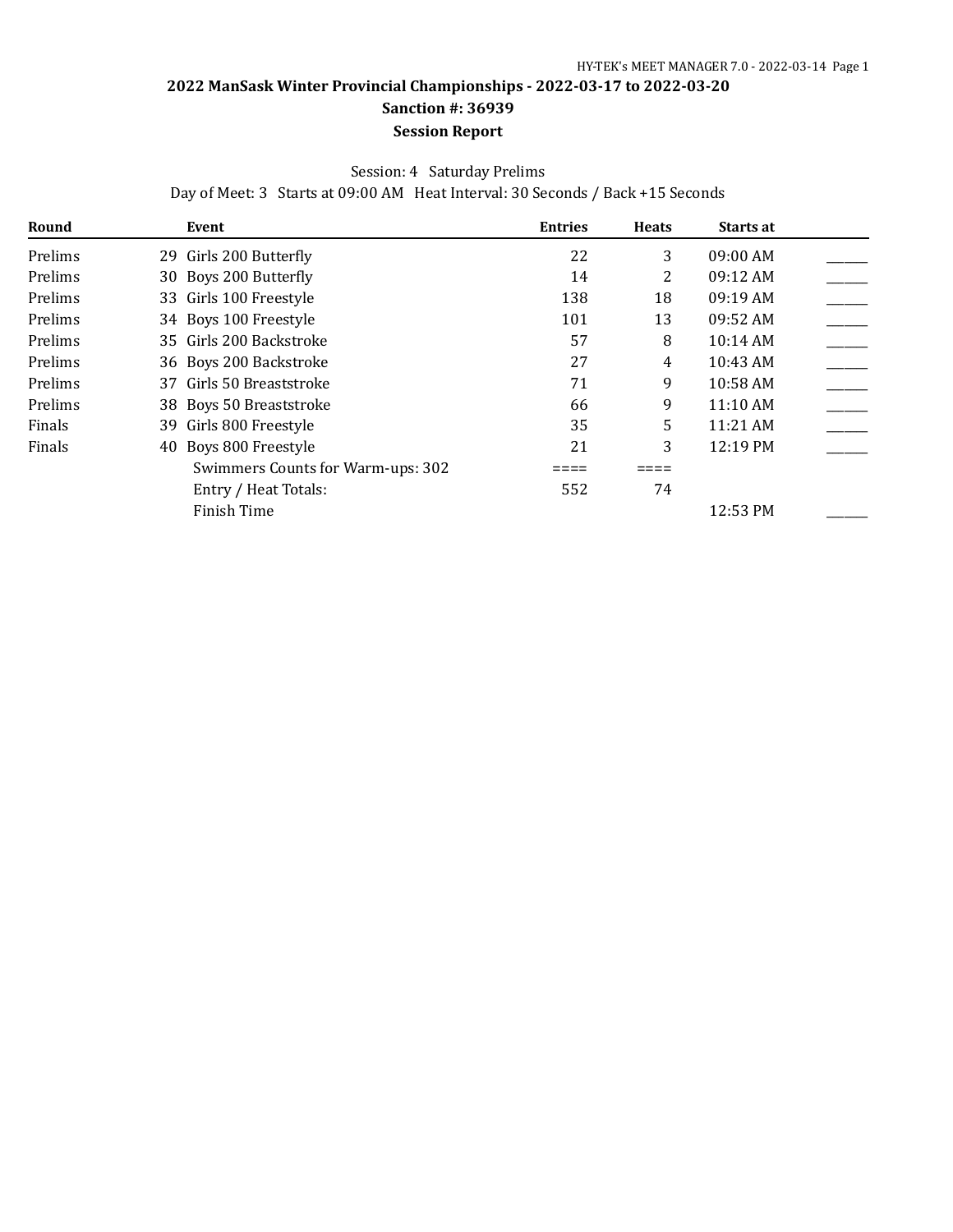#### Session: 4 Saturday Prelims

Day of Meet: 3 Starts at 09:00 AM Heat Interval: 30 Seconds / Back +15 Seconds

| Round   | Event                             | <b>Entries</b> | <b>Heats</b> | Starts at  |  |
|---------|-----------------------------------|----------------|--------------|------------|--|
| Prelims | 29 Girls 200 Butterfly            | 22             | 3            | 09:00 AM   |  |
| Prelims | 30 Boys 200 Butterfly             | 14             | 2            | 09:12 AM   |  |
| Prelims | 33 Girls 100 Freestyle            | 138            | 18           | $09:19$ AM |  |
| Prelims | 34 Boys 100 Freestyle             | 101            | 13           | 09:52 AM   |  |
| Prelims | 35 Girls 200 Backstroke           | 57             | 8            | $10:14$ AM |  |
| Prelims | 36 Boys 200 Backstroke            | 27             | 4            | 10:43 AM   |  |
| Prelims | 37 Girls 50 Breaststroke          | 71             | 9            | 10:58 AM   |  |
| Prelims | 38 Boys 50 Breaststroke           | 66             | 9            | 11:10AM    |  |
| Finals  | 39 Girls 800 Freestyle            | 35             | 5            | 11:21 AM   |  |
| Finals  | 40 Boys 800 Freestyle             | 21             | 3            | 12:19 PM   |  |
|         | Swimmers Counts for Warm-ups: 302 |                |              |            |  |
|         | Entry / Heat Totals:              | 552            | 74           |            |  |
|         | Finish Time                       |                |              | 12:53 PM   |  |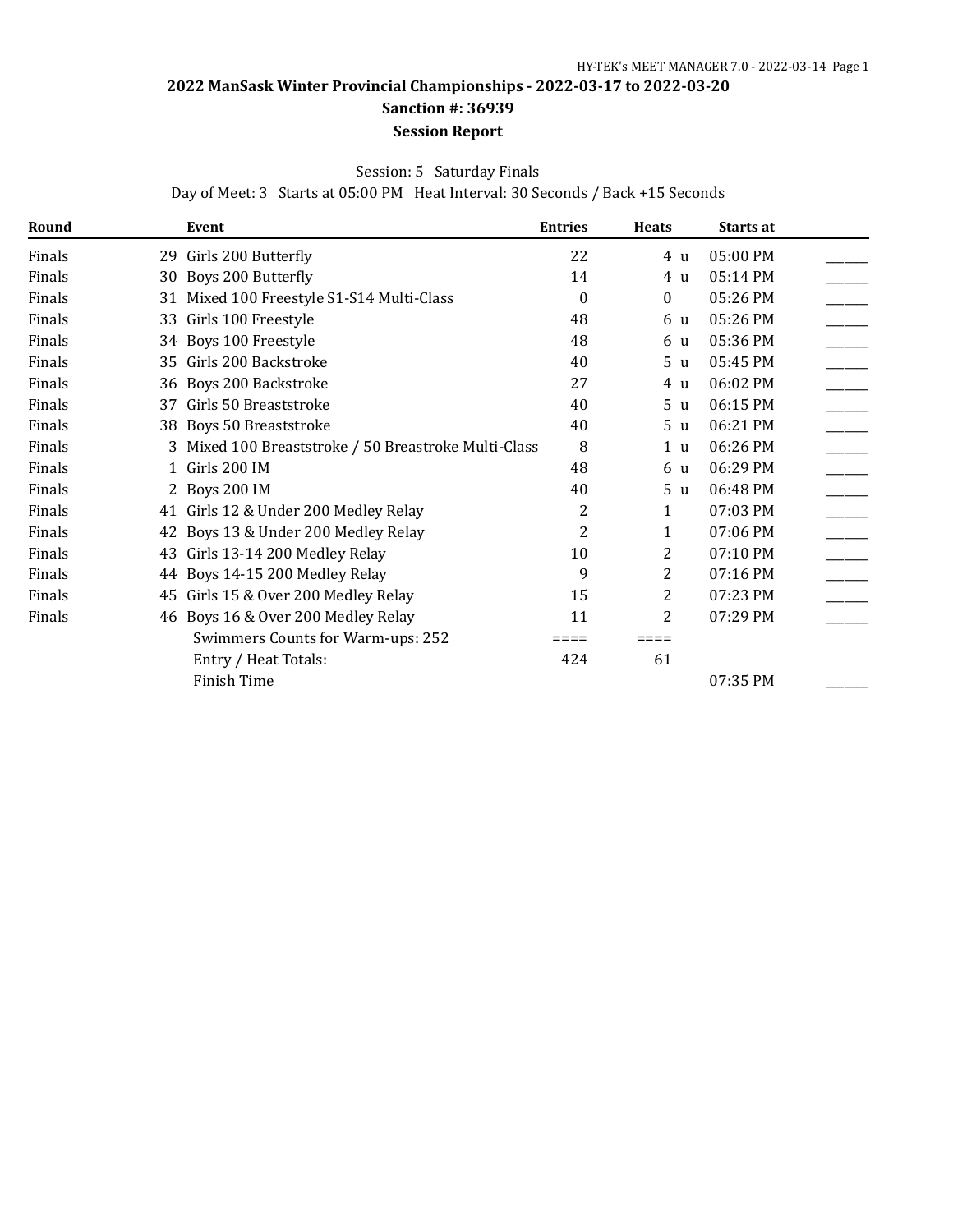## **2022 ManSask Winter Provincial Championships - 2022-03-17 to 2022-03-20 Sanction #: 36939**

### **Session Report**

Session: 5 Saturday Finals

Day of Meet: 3 Starts at 05:00 PM Heat Interval: 30 Seconds / Back +15 Seconds

| Round  |    | <b>Event</b>                                         | <b>Entries</b> | <b>Heats</b>   | Starts at |  |
|--------|----|------------------------------------------------------|----------------|----------------|-----------|--|
| Finals |    | 29 Girls 200 Butterfly                               | 22             | 4 u            | 05:00 PM  |  |
| Finals |    | 30 Boys 200 Butterfly                                | 14             | 4 u            | 05:14 PM  |  |
| Finals |    | 31 Mixed 100 Freestyle S1-S14 Multi-Class            | $\Omega$       | $\mathbf{0}$   | 05:26 PM  |  |
| Finals |    | 33 Girls 100 Freestyle                               | 48             | 6 u            | 05:26 PM  |  |
| Finals |    | 34 Boys 100 Freestyle                                | 48             | 6 u            | 05:36 PM  |  |
| Finals | 35 | Girls 200 Backstroke                                 | 40             | 5 <sub>u</sub> | 05:45 PM  |  |
| Finals |    | 36 Boys 200 Backstroke                               | 27             | 4 u            | 06:02 PM  |  |
| Finals | 37 | Girls 50 Breaststroke                                | 40             | 5 <sub>u</sub> | 06:15 PM  |  |
| Finals |    | 38 Boys 50 Breaststroke                              | 40             | 5 <sub>u</sub> | 06:21 PM  |  |
| Finals |    | 3 Mixed 100 Breaststroke / 50 Breastroke Multi-Class | 8              | 1 <sub>u</sub> | 06:26 PM  |  |
| Finals |    | 1 Girls 200 IM                                       | 48             | 6 u            | 06:29 PM  |  |
| Finals |    | 2 Boys 200 IM                                        | 40             | 5 <sub>u</sub> | 06:48 PM  |  |
| Finals |    | 41 Girls 12 & Under 200 Medley Relay                 | 2              | 1              | 07:03 PM  |  |
| Finals |    | 42 Boys 13 & Under 200 Medley Relay                  | 2              | 1              | 07:06 PM  |  |
| Finals | 43 | Girls 13-14 200 Medley Relay                         | 10             | 2              | 07:10 PM  |  |
| Finals |    | 44 Boys 14-15 200 Medley Relay                       | 9              | 2              | 07:16 PM  |  |
| Finals | 45 | Girls 15 & Over 200 Medley Relay                     | 15             | 2              | 07:23 PM  |  |
| Finals |    | 46 Boys 16 & Over 200 Medley Relay                   | 11             | 2              | 07:29 PM  |  |
|        |    | Swimmers Counts for Warm-ups: 252                    |                | ⋍≡≡≡           |           |  |
|        |    | Entry / Heat Totals:                                 | 424            | 61             |           |  |
|        |    | Finish Time                                          |                |                | 07:35 PM  |  |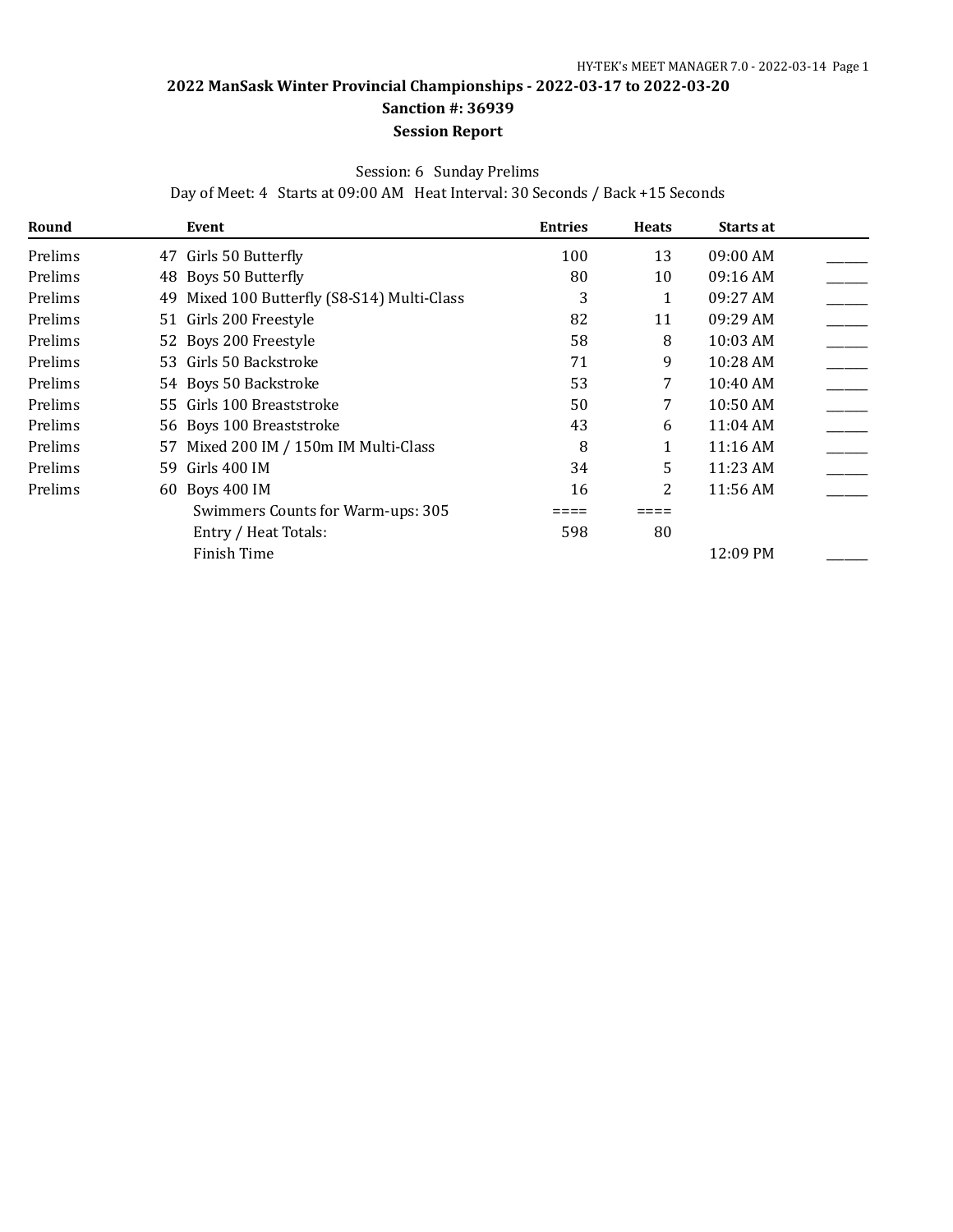#### Session: 6 Sunday Prelims

Day of Meet: 4 Starts at 09:00 AM Heat Interval: 30 Seconds / Back +15 Seconds

| Round   | Event                                          | <b>Entries</b> | <b>Heats</b>   | Starts at |  |
|---------|------------------------------------------------|----------------|----------------|-----------|--|
| Prelims | Girls 50 Butterfly<br>47                       | 100            | 13             | 09:00 AM  |  |
| Prelims | 48 Boys 50 Butterfly                           | 80             | 10             | 09:16 AM  |  |
| Prelims | Mixed 100 Butterfly (S8-S14) Multi-Class<br>49 | 3              |                | 09:27 AM  |  |
| Prelims | 51 Girls 200 Freestyle                         | 82             | 11             | 09:29 AM  |  |
| Prelims | 52 Boys 200 Freestyle                          | 58             | 8              | 10:03 AM  |  |
| Prelims | 53 Girls 50 Backstroke                         | 71             | 9              | 10:28 AM  |  |
| Prelims | 54 Boys 50 Backstroke                          | 53             | 7              | 10:40 AM  |  |
| Prelims | 55 Girls 100 Breaststroke                      | 50             | 7              | 10:50 AM  |  |
| Prelims | 56 Boys 100 Breaststroke                       | 43             | 6              | 11:04 AM  |  |
| Prelims | 57 Mixed 200 IM / 150m IM Multi-Class          | 8              |                | 11:16 AM  |  |
| Prelims | Girls 400 IM<br>59.                            | 34             | 5              | 11:23 AM  |  |
| Prelims | 60 Boys 400 IM                                 | 16             | $\overline{2}$ | 11:56 AM  |  |
|         | Swimmers Counts for Warm-ups: 305              |                |                |           |  |
|         | Entry / Heat Totals:                           | 598            | 80             |           |  |
|         | Finish Time                                    |                |                | 12:09 PM  |  |